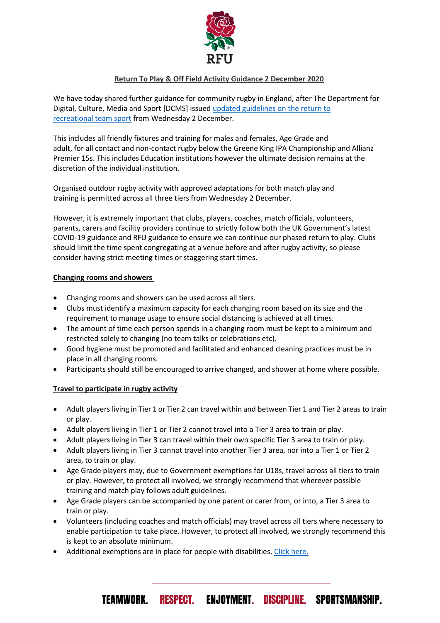

# **Return To Play & Off Field Activity Guidance 2 December 2020**

We have today shared further guidance for community rugby in England, after The Department for Digital, Culture, Media and Sport [DCMS] issued [updated guidelines on the return to](https://www.gov.uk/guidance/coronavirus-covid-19-grassroots-sports-guidance-for-the-public-and-sport-providers)  [recreational](https://www.gov.uk/guidance/coronavirus-covid-19-grassroots-sports-guidance-for-the-public-and-sport-providers) team sport from Wednesday 2 December.

This includes all friendly fixtures and training for males and females, Age Grade and adult, for all contact and non-contact rugby below the Greene King IPA Championship and Allianz Premier 15s. This includes Education institutions however the ultimate decision remains at the discretion of the individual institution.

Organised outdoor rugby activity with approved adaptations for both match play and training is permitted across all three tiers from Wednesday 2 December.

However, it is extremely important that clubs, players, coaches, match officials, volunteers, parents, carers and facility providers continue to strictly follow both the UK Government's latest COVID-19 guidance and RFU guidance to ensure we can continue our phased return to play. Clubs should limit the time spent congregating at a venue before and after rugby activity, so please consider having strict meeting times or staggering start times.

## **Changing rooms and showers**

- Changing rooms and showers can be used across all tiers.
- Clubs must identify a maximum capacity for each changing room based on its size and the requirement to manage usage to ensure social distancing is achieved at all times.
- The amount of time each person spends in a changing room must be kept to a minimum and restricted solely to changing (no team talks or celebrations etc).
- Good hygiene must be promoted and facilitated and enhanced cleaning practices must be in place in all changing rooms.
- Participants should still be encouraged to arrive changed, and shower at home where possible.

### **Travel to participate in rugby activity**

- Adult players living in Tier 1 or Tier 2 can travel within and between Tier 1 and Tier 2 areas to train or play.
- Adult players living in Tier 1 or Tier 2 cannot travel into a Tier 3 area to train or play.
- Adult players living in Tier 3 can travel within their own specific Tier 3 area to train or play.
- Adult players living in Tier 3 cannot travel into another Tier 3 area, nor into a Tier 1 or Tier 2 area, to train or play.
- Age Grade players may, due to Government exemptions for U18s, travel across all tiers to train or play. However, to protect all involved, we strongly recommend that wherever possible training and match play follows adult guidelines.
- Age Grade players can be accompanied by one parent or carer from, or into, a Tier 3 area to train or play.
- Volunteers (including coaches and match officials) may travel across all tiers where necessary to enable participation to take place. However, to protect all involved, we strongly recommend this is kept to an absolute minimum.

TEAMWORK. RESPECT. ENJOYMENT. DISCIPLINE. SPORTSMANSHIP.

• Additional exemptions are in place for people with disabilities. [Click here.](https://www.gov.uk/guidance/coronavirus-covid-19-grassroots-sports-guidance-for-the-public-and-sport-providers)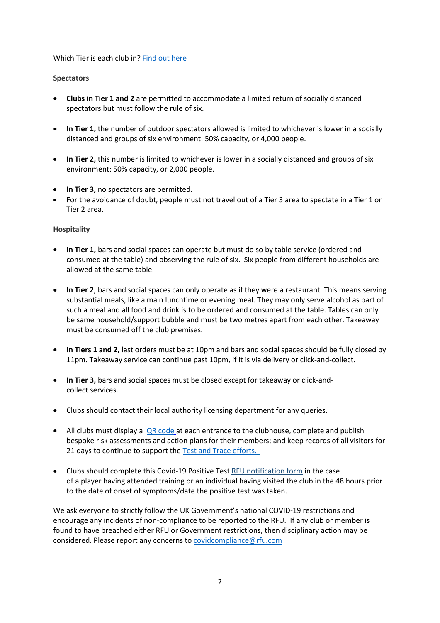Which Tier is each club in? [Find out here](https://www.gov.uk/find-coronavirus-local-restrictions)

### **Spectators**

- **Clubs in Tier 1 and 2** are permitted to accommodate a limited return of socially distanced spectators but must follow the rule of six.
- **In Tier 1,** the number of outdoor spectators allowed is limited to whichever is lower in a socially distanced and groups of six environment: 50% capacity, or 4,000 people.
- **In Tier 2,** this number is limited to whichever is lower in a socially distanced and groups of six environment: 50% capacity, or 2,000 people.
- **In Tier 3,** no spectators are permitted.
- For the avoidance of doubt, people must not travel out of a Tier 3 area to spectate in a Tier 1 or Tier 2 area.

## **Hospitality**

- **In Tier 1,** bars and social spaces can operate but must do so by table service (ordered and consumed at the table) and observing the rule of six. Six people from different households are allowed at the same table.
- **In Tier 2**, bars and social spaces can only operate as if they were a restaurant. This means serving substantial meals, like a main lunchtime or evening meal. They may only serve alcohol as part of such a meal and all food and drink is to be ordered and consumed at the table. Tables can only be same household/support bubble and must be two metres apart from each other. Takeaway must be consumed off the club premises.
- **In Tiers 1 and 2,** last orders must be at 10pm and bars and social spaces should be fully closed by 11pm. Takeaway service can continue past 10pm, if it is via delivery or click-and-collect.
- **In Tier 3,** bars and social spaces must be closed except for takeaway or click-andcollect services.
- Clubs should contact their local authority licensing department for any queries.
- All clubs must display a [QR code](https://www.gov.uk/create-coronavirus-qr-poster?gclid=CjwKCAjw5p_8BRBUEiwAPpJO69nNAjU23exWGonAKL7m3nOVglje17BFnB7Z-A-2dotMVV3JbF7dvRoC6W4QAvD_BwE) at each entrance to the clubhouse, complete and publish bespoke risk assessments and action plans for their members; and keep records of all visitors for 21 days to continue to support the [Test and Trace efforts.](https://www.gov.uk/guidance/maintaining-records-of-staff-customers-and-visitors-to-support-nhs-test-and-trace#information-to-collect)
- Clubs should complete this Covid-19 Positive Test [RFU notification form](https://forms.office.com/Pages/ResponsePage.aspx?id=FMgGcSyloEi959o21DEbVX6U_qJug-dHhlPVm_xrTpdUM0tDV0JUSFNRMjRDOFU2QTk3VTVGQkRRMC4u) in the case of a player having attended training or an individual having visited the club in the 48 hours prior to the date of onset of symptoms/date the positive test was taken.

We ask everyone to strictly follow the UK Government's national COVID-19 restrictions and encourage any incidents of non-compliance to be reported to the RFU. If any club or member is found to have breached either RFU or Government restrictions, then disciplinary action may be considered. Please report any concerns to [covidcompliance@rfu.com](mailto:covidcompliance@rfu.com)